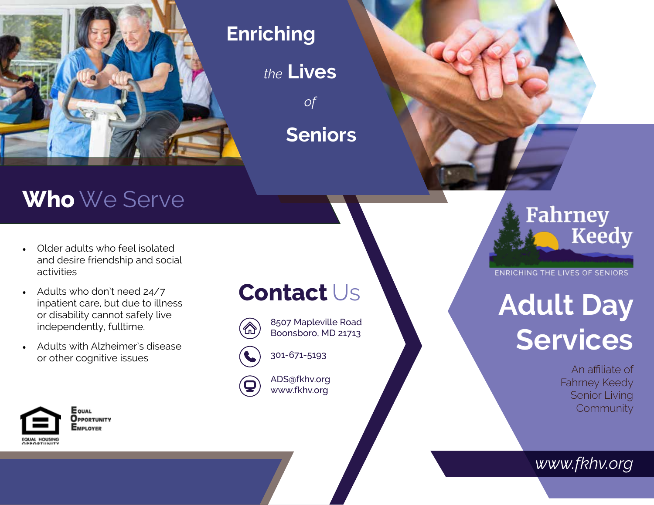

#### **Enriching**

*the* **Lives**

*of*

**Seniors**

## **Who** We Serve

- Older adults who feel isolated and desire friendship and social activities
- Adults who don't need 24/7 inpatient care, but due to illness or disability cannot safely live independently, fulltime.
- Adults with Alzheimer's disease or other cognitive issues



**E** QUAL OPPORTUNITY EMPLOYER

### **Contact** Us



8507 Mapleville Road Boonsboro, MD 21713



301-671-5193

ADS@fkhv.org www.fkhv.org

# Fahrney **Keedy**

*v*

**ENRICHING THE LIVES OF SENIORS** 

# **Adult Day Services**

An affiliate of Fahrney Keedy Senior Living **Community** 

*www.fkhv.org*